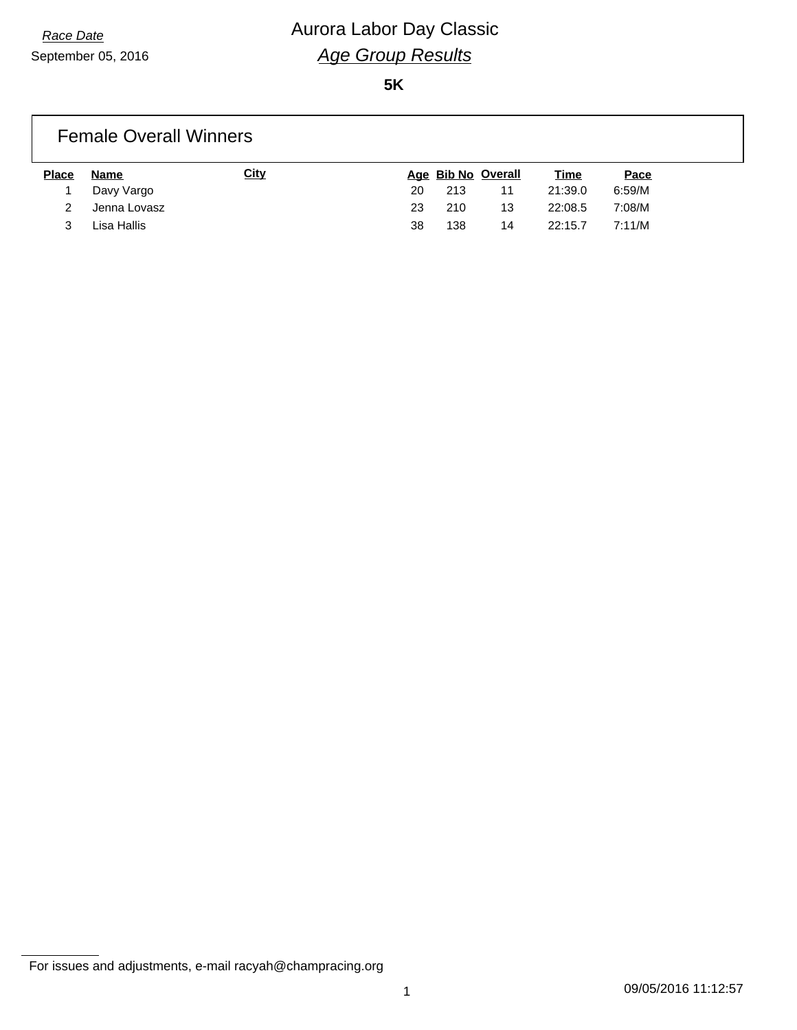## *Race Date* **Aurora Labor Day Classic** *Age Group Results*

**5K**

#### Female Overall Winners **Place Name City Age Bib No Overall Time Pace** 1 Davy Vargo 20 213 11 21:39.0 6:59/M 2 Jenna Lovasz 23 210 13 22:08.5 7:08/M

3 Lisa Hallis 38 138 14 22:15.7 7:11/M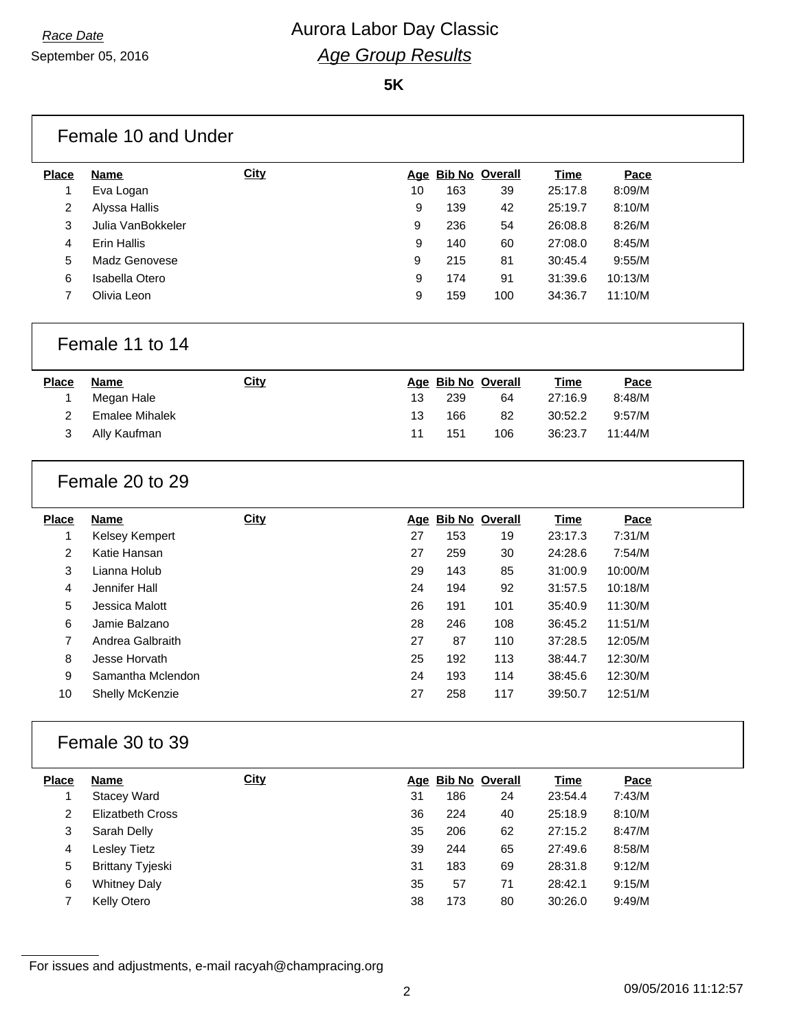September 05, 2016

## *Race Date* **Aurora Labor Day Classic** *Age Group Results*

**5K**

| <b>Place</b>   | <b>Name</b>             | <b>City</b> |    | Age Bib No Overall |                    | <b>Time</b> | Pace    |
|----------------|-------------------------|-------------|----|--------------------|--------------------|-------------|---------|
| 1              | Eva Logan               |             | 10 | 163                | 39                 | 25:17.8     | 8:09/M  |
| 2              | Alyssa Hallis           |             | 9  | 139                | 42                 | 25:19.7     | 8:10/M  |
| 3              | Julia VanBokkeler       |             | 9  | 236                | 54                 | 26:08.8     | 8:26/M  |
| 4              | <b>Erin Hallis</b>      |             | 9  | 140                | 60                 | 27:08.0     | 8:45/M  |
| 5              | Madz Genovese           |             | 9  | 215                | 81                 | 30:45.4     | 9:55/M  |
| 6              | Isabella Otero          |             | 9  | 174                | 91                 | 31:39.6     | 10:13/M |
| 7              | Olivia Leon             |             | 9  | 159                | 100                | 34:36.7     | 11:10/M |
|                | Female 11 to 14         |             |    |                    |                    |             |         |
| <b>Place</b>   | <b>Name</b>             | <b>City</b> |    | Age Bib No Overall |                    | <b>Time</b> | Pace    |
| 1              | Megan Hale              |             | 13 | 239                | 64                 | 27:16.9     | 8:48/M  |
| 2              | <b>Emalee Mihalek</b>   |             | 13 | 166                | 82                 | 30:52.2     | 9:57/M  |
| 3              | Ally Kaufman            |             | 11 | 151                | 106                | 36:23.7     | 11:44/M |
|                | Female 20 to 29         |             |    |                    |                    |             |         |
| <b>Place</b>   | <b>Name</b>             | <b>City</b> |    | Age Bib No Overall |                    | <b>Time</b> | Pace    |
| 1              | Kelsey Kempert          |             | 27 | 153                | 19                 | 23:17.3     | 7:31/M  |
| $\overline{c}$ | Katie Hansan            |             | 27 | 259                | 30                 | 24:28.6     | 7:54/M  |
| 3              | Lianna Holub            |             | 29 | 143                | 85                 | 31:00.9     | 10:00/M |
| 4              | Jennifer Hall           |             | 24 | 194                | 92                 | 31:57.5     | 10:18/M |
|                | Jessica Malott          |             | 26 | 191                | 101                | 35:40.9     | 11:30/M |
| 5              |                         |             | 28 | 246                | 108                | 36:45.2     | 11:51/M |
| 6              | Jamie Balzano           |             |    | 87                 | 110                | 37:28.5     | 12:05/M |
| 7              | Andrea Galbraith        |             | 27 |                    |                    |             |         |
| 8              | Jesse Horvath           |             | 25 | 192                | 113                | 38:44.7     | 12:30/M |
| 9              | Samantha Mclendon       |             | 24 | 193                | 114                | 38:45.6     | 12:30/M |
| 10             | Shelly McKenzie         |             | 27 | 258                | 117                | 39:50.7     | 12:51/M |
|                | Female 30 to 39         |             |    |                    |                    |             |         |
| <b>Place</b>   | <b>Name</b>             | <b>City</b> |    |                    | Age Bib No Overall | <b>Time</b> | Pace    |
| 1              | <b>Stacey Ward</b>      |             | 31 | 186                | 24                 | 23:54.4     | 7:43/M  |
| 2              | <b>Elizatbeth Cross</b> |             | 36 | 224                | 40                 | 25:18.9     | 8:10/M  |
| 3              | Sarah Delly             |             | 35 | 206                | 62                 | 27:15.2     | 8:47/M  |
| 4              | <b>Lesley Tietz</b>     |             | 39 | 244                | 65                 | 27:49.6     | 8:58/M  |
| 5              | <b>Brittany Tyjeski</b> |             | 31 | 183                | 69                 | 28:31.8     | 9:12/M  |
| 6              | <b>Whitney Daly</b>     |             | 35 | 57                 | 71                 | 28:42.1     | 9:15/M  |

09/05/2016 11:12:57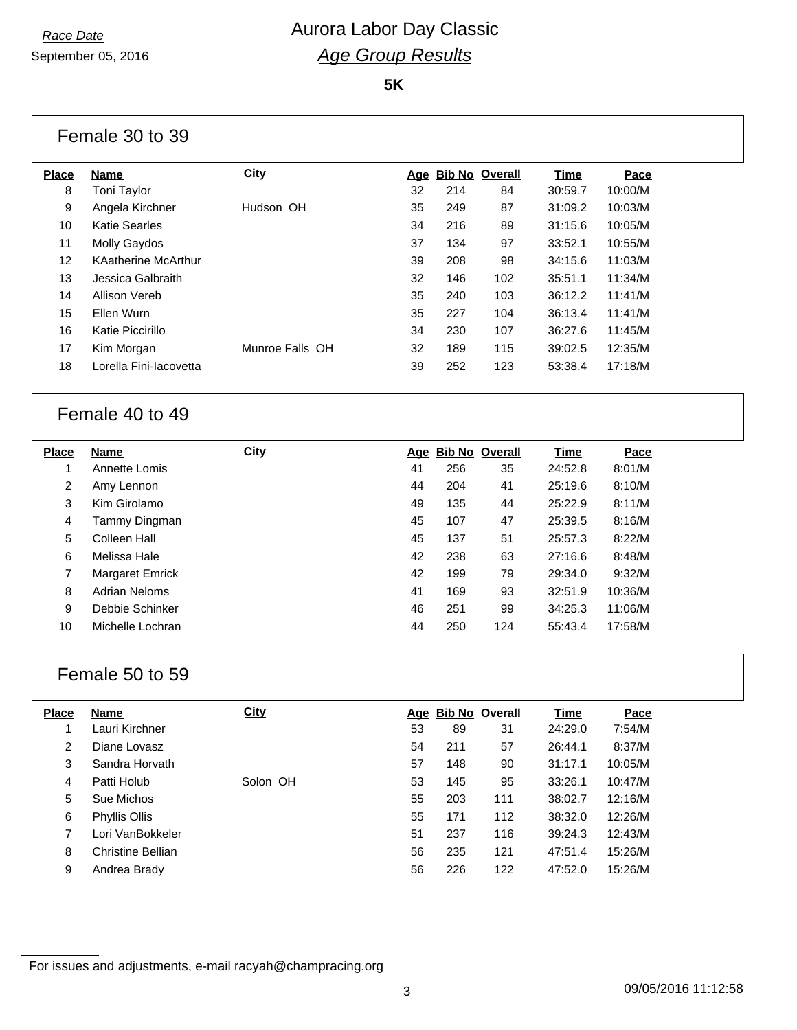September 05, 2016

#### *Race Date* **Aurora Labor Day Classic** *Age Group Results*

**5K**

|                | Female 30 to 39            |                 |    |     |                    |             |         |  |
|----------------|----------------------------|-----------------|----|-----|--------------------|-------------|---------|--|
| <b>Place</b>   | <b>Name</b>                | <b>City</b>     |    |     | Age Bib No Overall | <b>Time</b> | Pace    |  |
| 8              | Toni Taylor                |                 | 32 | 214 | 84                 | 30:59.7     | 10:00/M |  |
| 9              | Angela Kirchner            | Hudson OH       | 35 | 249 | 87                 | 31:09.2     | 10:03/M |  |
| 10             | <b>Katie Searles</b>       |                 | 34 | 216 | 89                 | 31:15.6     | 10:05/M |  |
| 11             | Molly Gaydos               |                 | 37 | 134 | 97                 | 33:52.1     | 10:55/M |  |
| 12             | <b>KAatherine McArthur</b> |                 | 39 | 208 | 98                 | 34:15.6     | 11:03/M |  |
| 13             | Jessica Galbraith          |                 | 32 | 146 | 102                | 35:51.1     | 11:34/M |  |
| 14             | <b>Allison Vereb</b>       |                 | 35 | 240 | 103                | 36:12.2     | 11:41/M |  |
| 15             | Ellen Wurn                 |                 | 35 | 227 | 104                | 36:13.4     | 11:41/M |  |
| 16             | Katie Piccirillo           |                 | 34 | 230 | 107                | 36:27.6     | 11:45/M |  |
| 17             | Kim Morgan                 | Munroe Falls OH | 32 | 189 | 115                | 39:02.5     | 12:35/M |  |
| 18             | Lorella Fini-lacovetta     |                 | 39 | 252 | 123                | 53:38.4     | 17:18/M |  |
|                | Female 40 to 49            |                 |    |     |                    |             |         |  |
|                |                            |                 |    |     |                    |             |         |  |
| Place          | <b>Name</b>                | City            |    |     | Age Bib No Overall | <b>Time</b> | Pace    |  |
| $\mathbf{1}$   | Annette Lomis              |                 | 41 | 256 | 35                 | 24:52.8     | 8:01/M  |  |
| $\overline{c}$ | Amy Lennon                 |                 | 44 | 204 | 41                 | 25:19.6     | 8:10/M  |  |
| 3              | Kim Girolamo               |                 | 49 | 135 | 44                 | 25:22.9     | 8:11/M  |  |
| 4              | Tammy Dingman              |                 | 45 | 107 | 47                 | 25:39.5     | 8:16/M  |  |
| 5              | Colleen Hall               |                 | 45 | 137 | 51                 | 25:57.3     | 8:22/M  |  |
| 6              | Melissa Hale               |                 | 42 | 238 | 63                 | 27:16.6     | 8:48/M  |  |
| $\overline{7}$ | <b>Margaret Emrick</b>     |                 | 42 | 199 | 79                 | 29:34.0     | 9:32/M  |  |
| 8              | <b>Adrian Neloms</b>       |                 | 41 | 169 | 93                 | 32:51.9     | 10:36/M |  |
| 9              | Debbie Schinker            |                 | 46 | 251 | 99                 | 34:25.3     | 11:06/M |  |
| 10             | Michelle Lochran           |                 | 44 | 250 | 124                | 55:43.4     | 17:58/M |  |
|                | Female 50 to 59            |                 |    |     |                    |             |         |  |
| <b>Place</b>   | <b>Name</b>                | <b>City</b>     |    |     | Age Bib No Overall | <b>Time</b> | Pace    |  |
| 1              | Lauri Kirchner             |                 | 53 | 89  | 31                 | 24:29.0     | 7:54/M  |  |

 Sandra Horvath 57 148 90 31:17.1 10:05/M Patti Holub Solon OH 53 145 95 33:26.1 10:47/M Sue Michos 55 203 111 38:02.7 12:16/M Phyllis Ollis 55 171 112 38:32.0 12:26/M Lori VanBokkeler 51 237 116 39:24.3 12:43/M Christine Bellian 56 235 121 47:51.4 15:26/M Andrea Brady 56 226 122 47:52.0 15:26/M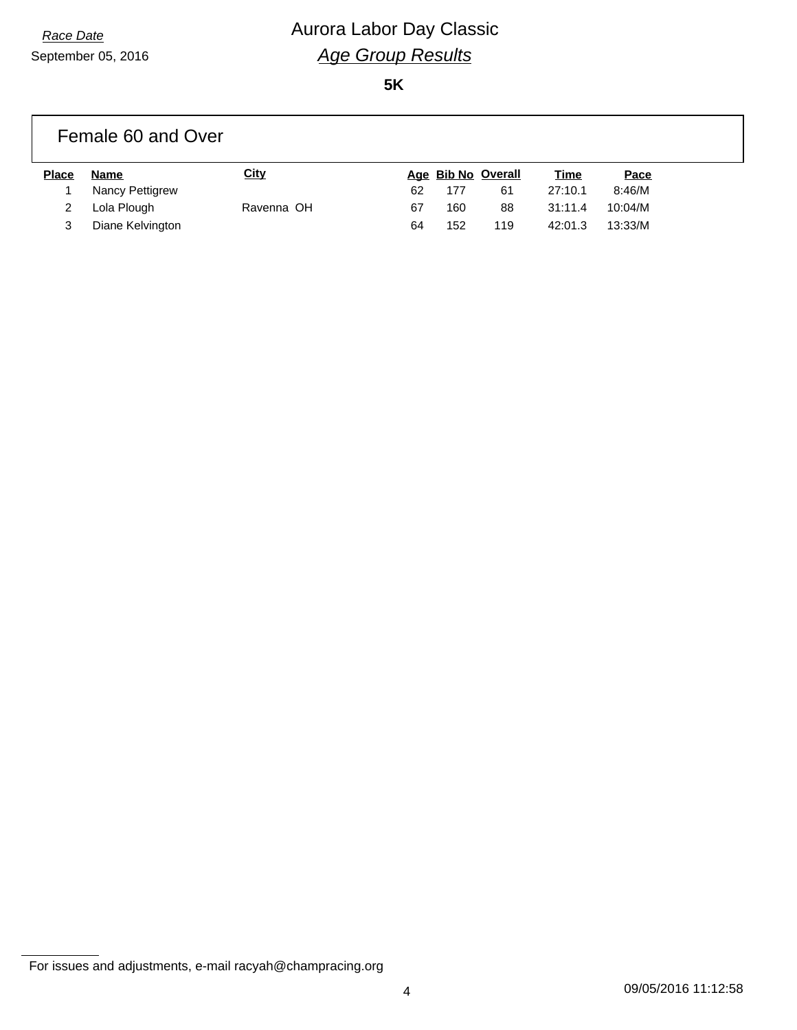# *Race Date* **Aurora Labor Day Classic** *Age Group Results*

**5K**

|              | Female 60 and Over |             |    |     |                    |             |         |
|--------------|--------------------|-------------|----|-----|--------------------|-------------|---------|
| <b>Place</b> | Name               | <u>City</u> |    |     | Age Bib No Overall | <u>Time</u> | Pace    |
|              | Nancy Pettigrew    |             | 62 | 177 | 61                 | 27:10.1     | 8:46/M  |
|              | Lola Plough        | Ravenna OH  | 67 | 160 | 88                 | 31:11.4     | 10:04/M |
| 3            | Diane Kelvington   |             | 64 | 152 | 119                | 42:01.3     | 13:33/M |

For issues and adjustments, e-mail racyah@champracing.org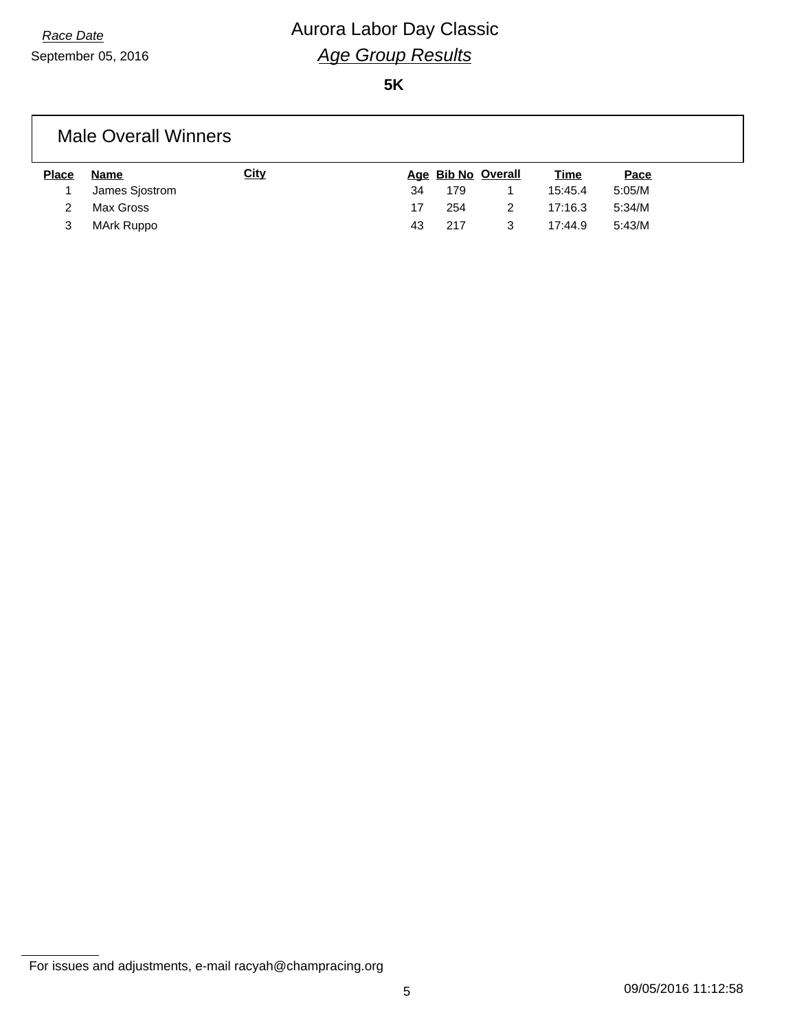## *Race Date* **Aurora Labor Day Classic** *Age Group Results*

**5K**

#### Male Overall Winners

| <b>Place</b> | <b>Name</b>    | <u>City</u> |     |     | Age Bib No Overall | <u>Time</u> | <u>Pace</u> |
|--------------|----------------|-------------|-----|-----|--------------------|-------------|-------------|
|              | James Sjostrom |             | 34  | 179 |                    | 15:45.4     | 5:05/M      |
|              | Max Gross      |             | 17  | 254 |                    | 17:16.3     | 5:34/M      |
|              | MArk Ruppo     |             | 43. | 217 |                    | 17:44.9     | 5:43/M      |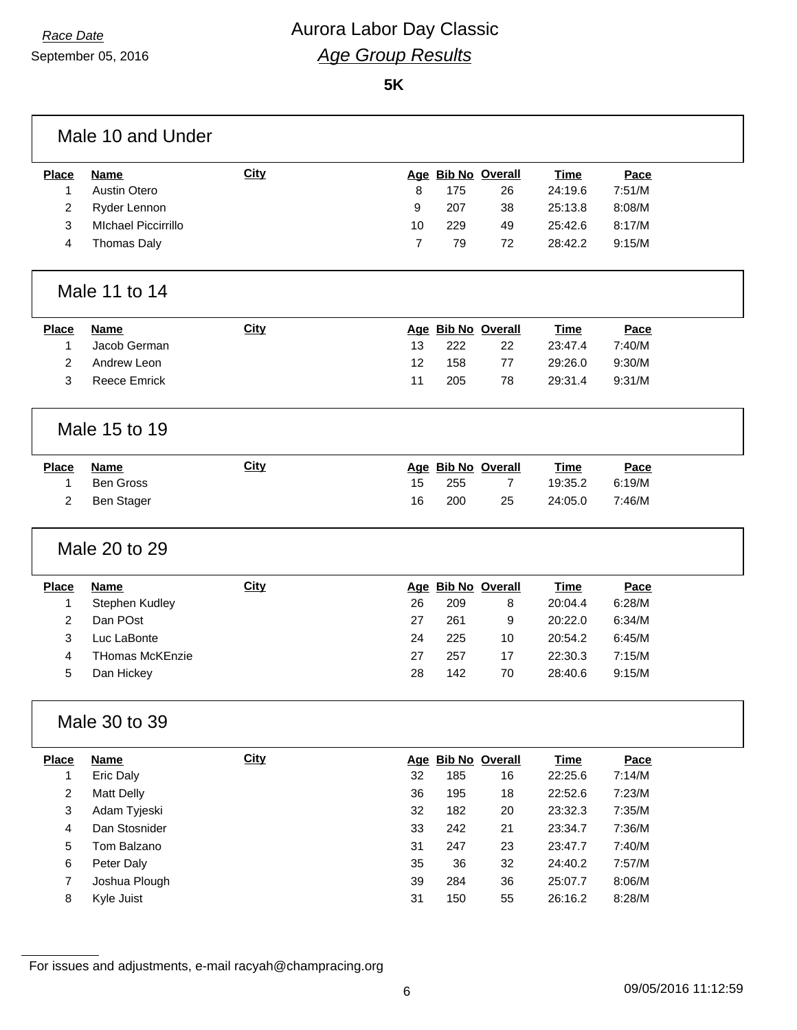#### *Race Date* **Aurora Labor Day Classic** *Age Group Results*

**5K**

|                         | Male 10 and Under           |             |                |            |                    |                    |                  |  |
|-------------------------|-----------------------------|-------------|----------------|------------|--------------------|--------------------|------------------|--|
| <b>Place</b>            | <b>Name</b>                 | <b>City</b> |                |            | Age Bib No Overall | <b>Time</b>        | Pace             |  |
| 1                       | <b>Austin Otero</b>         |             | 8              | 175        | 26                 | 24:19.6            | 7:51/M           |  |
| 2                       | Ryder Lennon                |             | 9              | 207        | 38                 | 25:13.8            | 8:08/M           |  |
| 3                       | <b>MIchael Piccirrillo</b>  |             | 10             | 229        | 49                 | 25:42.6            | 8:17/M           |  |
| 4                       | <b>Thomas Daly</b>          |             | $\overline{7}$ | 79         | 72                 | 28:42.2            | 9:15/M           |  |
|                         | Male 11 to 14               |             |                |            |                    |                    |                  |  |
| <b>Place</b>            | <b>Name</b>                 | <b>City</b> |                |            | Age Bib No Overall | <b>Time</b>        | Pace             |  |
| 1                       | Jacob German                |             | 13             | 222        | 22                 | 23:47.4            | 7:40/M           |  |
| 2                       | Andrew Leon                 |             | 12             | 158        | 77                 | 29:26.0            | 9:30/M           |  |
| 3                       | <b>Reece Emrick</b>         |             | 11             | 205        | 78                 | 29:31.4            | 9:31/M           |  |
|                         | Male 15 to 19               |             |                |            |                    |                    |                  |  |
| <b>Place</b>            | <b>Name</b>                 | <b>City</b> |                |            | Age Bib No Overall | <b>Time</b>        | Pace             |  |
| 1                       | <b>Ben Gross</b>            |             | 15             | 255        | 7                  | 19:35.2            | 6:19/M           |  |
| 2                       | <b>Ben Stager</b>           |             | 16             | 200        | 25                 | 24:05.0            | 7:46/M           |  |
|                         | Male 20 to 29               |             |                |            |                    |                    |                  |  |
| <b>Place</b>            | <b>Name</b>                 | <b>City</b> |                |            | Age Bib No Overall | <b>Time</b>        | Pace             |  |
| 1                       | Stephen Kudley              |             | 26             | 209        | 8                  | 20:04.4            | 6:28/M           |  |
| $\overline{2}$          | Dan POst                    |             | 27             | 261        | 9                  | 20:22.0            | 6:34/M           |  |
| 3                       | Luc LaBonte                 |             | 24             | 225        | 10                 | 20:54.2            | 6:45/M           |  |
| 4                       | <b>THomas McKEnzie</b>      |             | 27             | 257        | 17                 | 22:30.3            | 7:15/M           |  |
| 5                       | Dan Hickey                  |             | 28             | 142        | 70                 | 28:40.6            | 9:15/M           |  |
|                         | Male 30 to 39               |             |                |            |                    |                    |                  |  |
| <b>Place</b>            | <b>Name</b>                 | <b>City</b> |                |            | Age Bib No Overall | <b>Time</b>        | Pace             |  |
| 1                       | Eric Daly                   |             | 32             | 185        | 16                 | 22:25.6            | 7:14/M           |  |
| $\overline{\mathbf{c}}$ | <b>Matt Delly</b>           |             | 36             | 195        | 18                 | 22:52.6            | 7:23/M           |  |
| 3                       | Adam Tyjeski                |             | 32             | 182        | 20                 | 23:32.3            | 7:35/M           |  |
| 4                       | Dan Stosnider               |             | 33             | 242        | 21                 | 23:34.7            | 7:36/M           |  |
|                         | Tom Balzano                 |             | 31             | 247        | 23                 | 23:47.7            | 7:40/M           |  |
| 5                       |                             |             |                |            |                    |                    |                  |  |
| 6                       | Peter Daly                  |             | 35             | 36         | 32                 | 24:40.2            | 7:57/M           |  |
| 7                       | Joshua Plough<br>Kyle Juist |             | 39<br>31       | 284<br>150 | 36<br>55           | 25:07.7<br>26:16.2 | 8:06/M<br>8:28/M |  |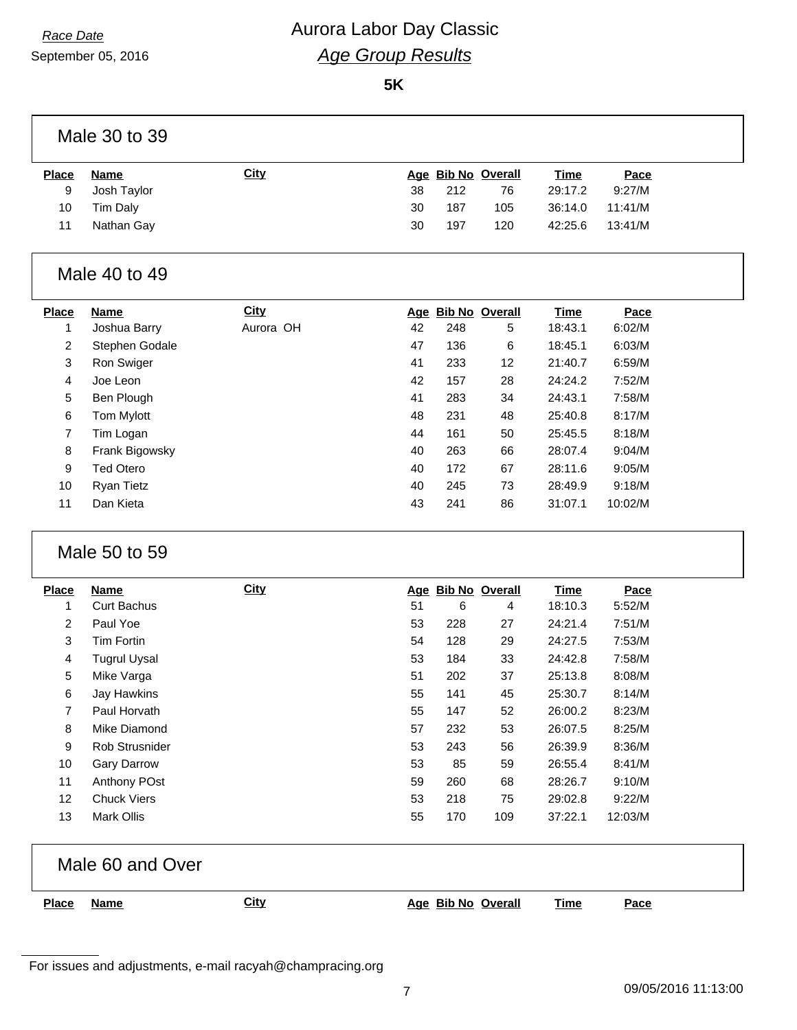### *Race Date* **Aurora Labor Day Classic** *Age Group Results*

**5K**

|                | Male 30 to 39       |             |    |     |                    |             |         |
|----------------|---------------------|-------------|----|-----|--------------------|-------------|---------|
| <b>Place</b>   | <b>Name</b>         | <b>City</b> |    |     | Age Bib No Overall | <b>Time</b> | Pace    |
| 9              | Josh Taylor         |             | 38 | 212 | 76                 | 29:17.2     | 9:27/M  |
| 10             | Tim Daly            |             | 30 | 187 | 105                | 36:14.0     | 11:41/M |
| 11             | Nathan Gay          |             | 30 | 197 | 120                | 42:25.6     | 13:41/M |
|                | Male 40 to 49       |             |    |     |                    |             |         |
| <b>Place</b>   | <b>Name</b>         | <b>City</b> |    |     | Age Bib No Overall | <b>Time</b> | Pace    |
| 1              | Joshua Barry        | Aurora OH   | 42 | 248 | 5                  | 18:43.1     | 6:02/M  |
| 2              | Stephen Godale      |             | 47 | 136 | 6                  | 18:45.1     | 6:03/M  |
| 3              | Ron Swiger          |             | 41 | 233 | 12                 | 21:40.7     | 6:59/M  |
| 4              | Joe Leon            |             | 42 | 157 | 28                 | 24:24.2     | 7:52/M  |
| 5              | Ben Plough          |             | 41 | 283 | 34                 | 24:43.1     | 7:58/M  |
| 6              | Tom Mylott          |             | 48 | 231 | 48                 | 25:40.8     | 8:17/M  |
| 7              | Tim Logan           |             | 44 | 161 | 50                 | 25:45.5     | 8:18/M  |
| 8              | Frank Bigowsky      |             | 40 | 263 | 66                 | 28:07.4     | 9:04/M  |
| 9              | <b>Ted Otero</b>    |             | 40 | 172 | 67                 | 28:11.6     | 9:05/M  |
| 10             | <b>Ryan Tietz</b>   |             | 40 | 245 | 73                 | 28:49.9     | 9:18/M  |
| 11             | Dan Kieta           |             | 43 | 241 | 86                 | 31:07.1     | 10:02/M |
|                | Male 50 to 59       |             |    |     |                    |             |         |
| <b>Place</b>   | <b>Name</b>         | <b>City</b> |    |     | Age Bib No Overall | <b>Time</b> | Pace    |
| 1              | <b>Curt Bachus</b>  |             | 51 | 6   | 4                  | 18:10.3     | 5:52/M  |
| $\overline{c}$ | Paul Yoe            |             | 53 | 228 | 27                 | 24:21.4     | 7:51/M  |
| 3              | Tim Fortin          |             | 54 | 128 | 29                 | 24:27.5     | 7:53/M  |
| 4              | <b>Tugrul Uysal</b> |             | 53 | 184 | 33                 | 24:42.8     | 7:58/M  |
| 5              | Mike Varga          |             | 51 | 202 | 37                 | 25:13.8     | 8:08/M  |
| 6              | Jay Hawkins         |             | 55 | 141 | 45                 | 25:30.7     | 8:14/M  |
| 7              | Paul Horvath        |             | 55 | 147 | 52                 | 26:00.2     | 8:23/M  |
| 8              | Mike Diamond        |             | 57 | 232 | 53                 | 26:07.5     | 8:25/M  |
| 9              | Rob Strusnider      |             | 53 | 243 | 56                 | 26:39.9     | 8:36/M  |
| 10             | <b>Gary Darrow</b>  |             | 53 | 85  | 59                 | 26:55.4     | 8:41/M  |
| 11             | Anthony POst        |             | 59 | 260 | 68                 | 28:26.7     | 9:10/M  |
| 12             | <b>Chuck Viers</b>  |             | 53 | 218 | 75                 | 29:02.8     | 9:22/M  |
| 13             | Mark Ollis          |             | 55 | 170 | 109                | 37:22.1     | 12:03/M |
|                | Male 60 and Over    |             |    |     |                    |             |         |
| <b>Place</b>   | <b>Name</b>         | <b>City</b> |    |     | Age Bib No Overall | <b>Time</b> | Pace    |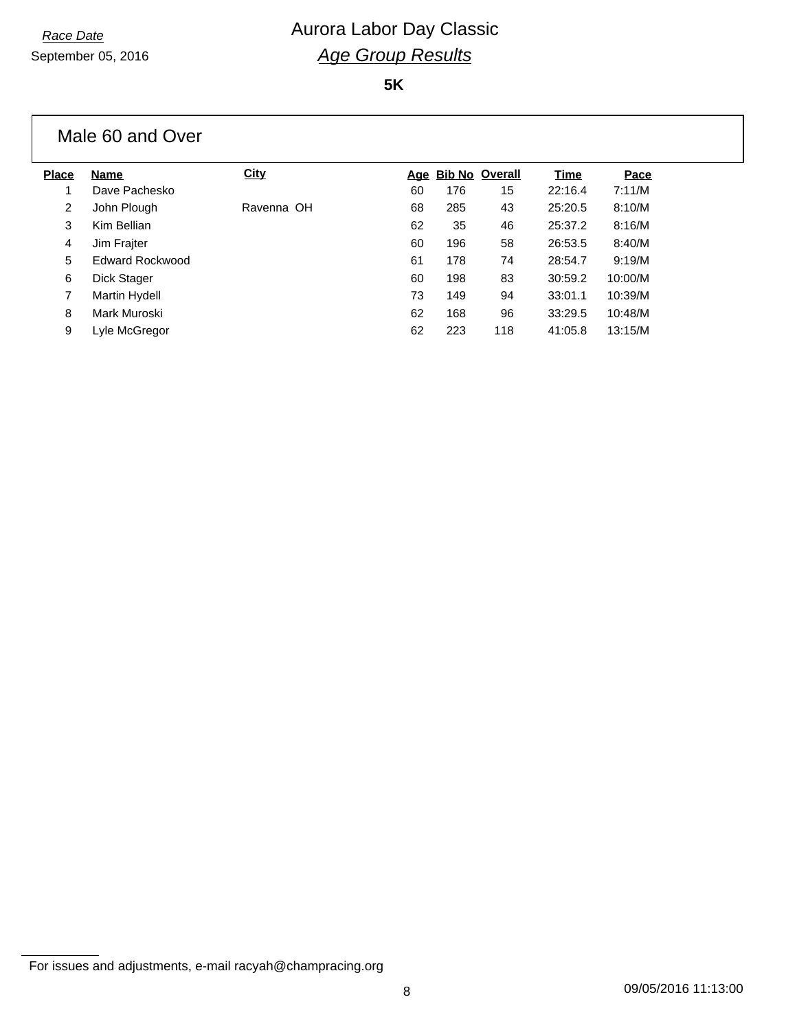September 05, 2016

# *Race Date* **Aurora Labor Day Classic** *Age Group Results*

**5K**

|              | Male 60 and Over     |            |    |                    |     |         |         |
|--------------|----------------------|------------|----|--------------------|-----|---------|---------|
| <b>Place</b> | Name                 | City       |    | Age Bib No Overall |     | Time    | Pace    |
|              | Dave Pachesko        |            | 60 | 176                | 15  | 22:16.4 | 7:11/M  |
| 2            | John Plough          | Ravenna OH | 68 | 285                | 43  | 25:20.5 | 8:10/M  |
| 3            | Kim Bellian          |            | 62 | 35                 | 46  | 25:37.2 | 8:16/M  |
| 4            | Jim Frajter          |            | 60 | 196                | 58  | 26:53.5 | 8:40/M  |
| 5            | Edward Rockwood      |            | 61 | 178                | 74  | 28:54.7 | 9:19/M  |
| 6            | Dick Stager          |            | 60 | 198                | 83  | 30:59.2 | 10:00/M |
| 7            | <b>Martin Hydell</b> |            | 73 | 149                | 94  | 33:01.1 | 10:39/M |
| 8            | Mark Muroski         |            | 62 | 168                | 96  | 33:29.5 | 10:48/M |
| 9            | Lyle McGregor        |            | 62 | 223                | 118 | 41:05.8 | 13:15/M |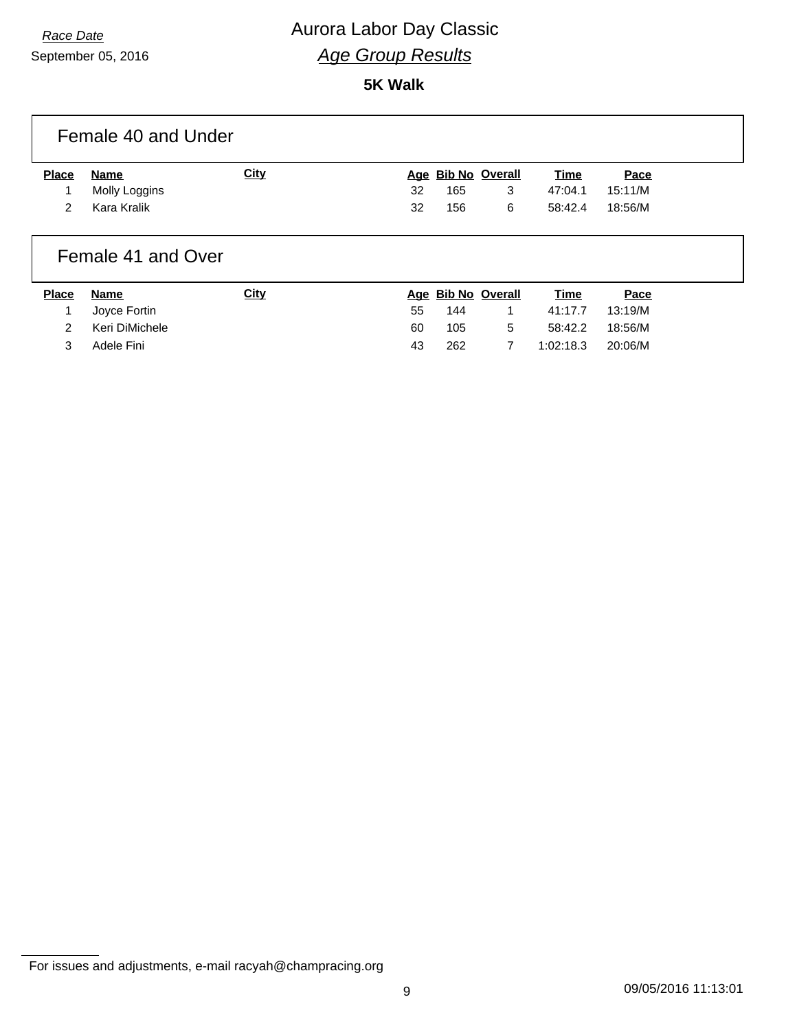# *Race Date* **Aurora Labor Day Classic** *Age Group Results*

**5K Walk**

|              | Female 40 and Under |      |    |           |                    |           |         |
|--------------|---------------------|------|----|-----------|--------------------|-----------|---------|
| <b>Place</b> | Name                | City |    |           | Age Bib No Overall | Time      | Pace    |
|              | Molly Loggins       |      | 32 | 165       | 3                  | 47:04.1   | 15:11/M |
| 2            | Kara Kralik         |      | 32 | 156       | 6                  | 58:42.4   | 18:56/M |
|              | Female 41 and Over  |      |    |           |                    |           |         |
| --           | .                   |      |    | _ _ _ _ _ | . .                | $- \cdot$ |         |

| <b>Place</b> | Name           | <u>City</u> |    |     | Age Bib No Overall | <u>Time</u> | Pace    |
|--------------|----------------|-------------|----|-----|--------------------|-------------|---------|
|              | 1 Joyce Fortin |             | 55 | 144 |                    | 41:17.7     | 13:19/M |
|              | Keri DiMichele |             | 60 | 105 | 5                  | 58:42.2     | 18:56/M |
|              | Adele Fini     |             | 43 | 262 |                    | 1:02:18.3   | 20:06/M |